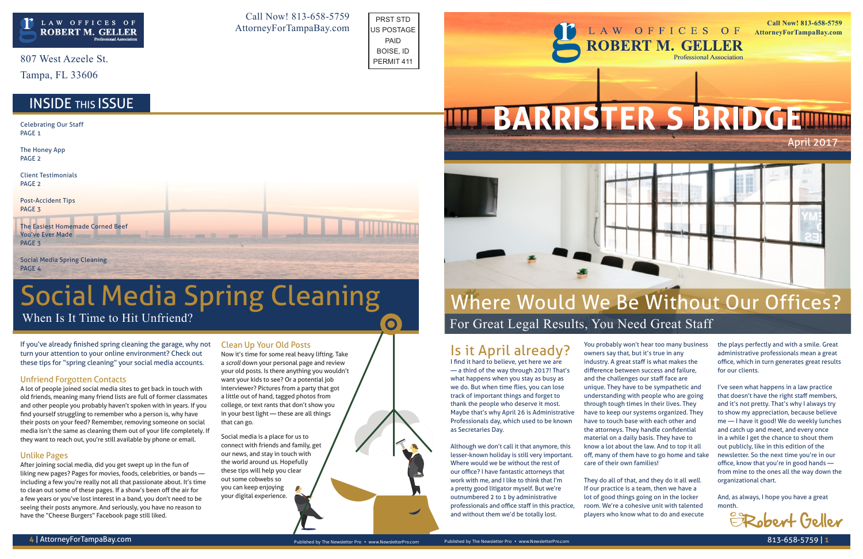If you've already finished spring cleaning the garage, why not turn your attention to your online environment? Check out these tips for "spring cleaning" your social media accounts.

### Unfriend Forgotten Contacts

A lot of people joined social media sites to get back in touch with old friends, meaning many friend lists are full of former classmates and other people you probably haven't spoken with in years. If you find yourself struggling to remember who a person is, why have their posts on your feed? Remember, removing someone on social media isn't the same as cleaning them out of your life completely. If they want to reach out, you're still available by phone or email.

### Unlike Pages

After joining social media, did you get swept up in the fun of liking new pages? Pages for movies, foods, celebrities, or bands including a few you're really not all that passionate about. It's time to clean out some of these pages. If a show's been off the air for a few years or you've lost interest in a band, you don't need to be seeing their posts anymore. And seriously, you have no reason to have the "Cheese Burgers" Facebook page still liked.

### Clean Up Your Old Posts

Now it's time for some real heavy lifting. Take a *scroll* down your personal page and review your old posts. Is there anything you wouldn't want your kids to see? Or a potential job interviewer? Pictures from a party that got a little out of hand, tagged photos from college, or text rants that don't show you in your best light — these are all things that can go.

Social media is a place for us to connect with friends and family, get our news, and stay in touch with the world around us. Hopefully these tips will help you clear out some cobwebs so you can keep enjoying your digital experience.

807 West Azeele St.

Tampa, FL 33606

When Is It Time to Hit Unfriend?

# Social Media Spring Cleaning

## Is it April already?

Celebrating Our Staff PAGE<sub>1</sub>

> I find it hard to believe, yet here we are — a third of the way through 2017! That's what happens when you stay as busy as we do. But when time flies, you can lose track of important things and forget to thank the people who deserve it most. Maybe that's why April 26 is Administrative Professionals day, which used to be known as Secretaries Day.

> Although we don't call it that anymore, this lesser-known holiday is still very important. Where would we be without the rest of our office? I have fantastic attorneys that work with me, and I like to think that I'm a pretty good litigator myself. But we're outnumbered 2 to 1 by administrative professionals and office staff in this practice, and without them we'd be totally lost.

You probably won't hear too many business owners say that, but it's true in any industry. A great staff is what makes the difference between success and failure, and the challenges our staff face are unique. They have to be sympathetic and understanding with people who are going through tough times in their lives. They have to keep our systems organized. They have to touch base with each other and the attorneys. They handle confidential material on a daily basis. They have to know a lot about the law. And to top it all off, many of them have to go home and take care of their own families!

They do all of that, and they do it all *well*. If our practice is a team, then we have a lot of good things going on in the locker room. We're a cohesive unit with talented players who know what to do and execute the plays perfectly and with a smile. Great administrative professionals mean a great office, which in turn generates great results for our clients.

I've seen what happens in a law practice that doesn't have the right staff members, and it's not pretty. That's why I always try to show my appreciation, because believe me — I have it good! We do weekly lunches and catch up and meet, and every once in a while I get the chance to shout them out publicly, like in this edition of the newsletter. So the next time you're in our office, know that you're in good hands from mine to the ones all the way down the organizational chart.

And, as always, I hope you have a great month.

The Honey App PAGE 2

Client Testimonials PAGE 2

Post-Accident Tips PAGE 3

The Easiest Homemade Corned Beef You've Ever Made PAGE 3

Social Media Spring Cleaning PAGE 4

Call Now! 813-658-5759 AttorneyForTampaBay.com







For Great Legal Results, You Need Great Staff

# Where Would We Be Without Our Offices?



PRST STD US POSTAGE PAID BOISE, ID PERMIT 411

 $\bullet$